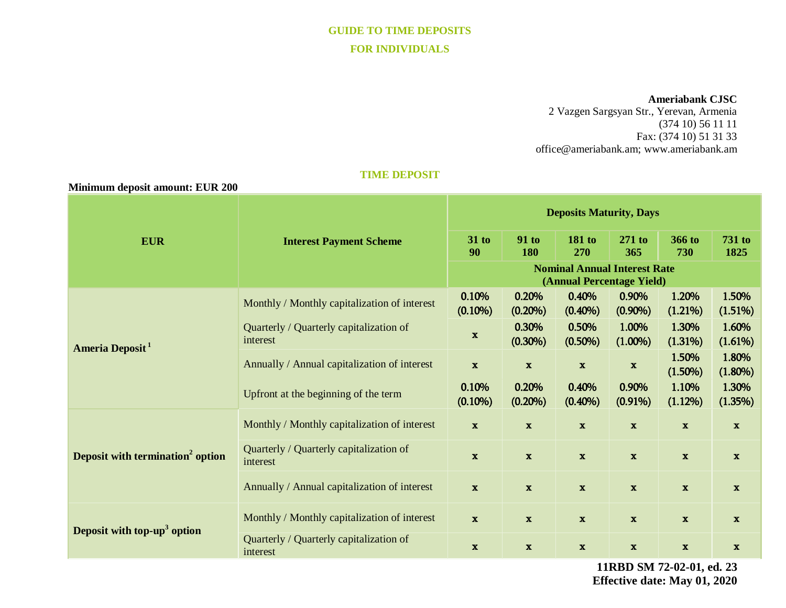# **GUIDE TO TIME DEPOSITS FOR INDIVIDUALS**

#### **Ameriabank CJSC**

2 Vazgen Sargsyan Str., Yerevan, Armenia (374 10) 56 11 11 Fax: (374 10) 51 31 33 [office@ameriabank.am;](mailto:office@ameriabank.am) www.ameriabank.am

#### **TIME DEPOSIT**

| Minimum deposit amount: EUR 200              |                                                     |                                                                  |                            |                     |                     |                           |                           |
|----------------------------------------------|-----------------------------------------------------|------------------------------------------------------------------|----------------------------|---------------------|---------------------|---------------------------|---------------------------|
| <b>EUR</b>                                   | <b>Interest Payment Scheme</b>                      | <b>Deposits Maturity, Days</b>                                   |                            |                     |                     |                           |                           |
|                                              |                                                     | 31 to<br>90                                                      | <b>91 to</b><br><b>180</b> | 181 to<br>270       | 271 to<br>365       | <b>366 to</b><br>730      | 731 to<br>1825            |
|                                              |                                                     | <b>Nominal Annual Interest Rate</b><br>(Annual Percentage Yield) |                            |                     |                     |                           |                           |
| Ameria Deposit <sup>1</sup>                  | Monthly / Monthly capitalization of interest        | 0.10%<br>$(0.10\%)$                                              | 0.20%<br>$(0.20\%)$        | 0.40%<br>$(0.40\%)$ | 0.90%<br>$(0.90\%)$ | 1.20%<br>(1.21%)          | 1.50%<br>(1.51%)          |
|                                              | Quarterly / Quarterly capitalization of<br>interest | $\mathbf{x}$                                                     | 0.30%<br>$(0.30\%)$        | 0.50%<br>$(0.50\%)$ | 1.00%<br>$(1.00\%)$ | 1.30%<br>(1.31%)          | 1.60%<br>(1.61%)          |
|                                              | Annually / Annual capitalization of interest        | $\mathbf{x}$                                                     | $\mathbf{x}$               | $\mathbf{x}$        | $\mathbf x$         | 1.50%<br>$(1.50\%)$       | 1.80%<br>$(1.80\%)$       |
|                                              | Upfront at the beginning of the term                | 0.10%<br>$(0.10\%)$                                              | 0.20%<br>$(0.20\%)$        | 0.40%<br>$(0.40\%)$ | 0.90%<br>$(0.91\%)$ | 1.10%<br>(1.12%)          | 1.30%<br>(1.35%)          |
| Deposit with termination <sup>2</sup> option | Monthly / Monthly capitalization of interest        | $\mathbf x$                                                      | $\mathbf x$                | $\mathbf x$         | $\mathbf x$         | $\boldsymbol{\mathrm{x}}$ | $\boldsymbol{\mathrm{x}}$ |
|                                              | Quarterly / Quarterly capitalization of<br>interest | $\mathbf{x}$                                                     | $\mathbf x$                | $\mathbf x$         | $\mathbf x$         | $\mathbf{x}$              | $\mathbf x$               |
|                                              | Annually / Annual capitalization of interest        | $\mathbf{x}$                                                     | $\mathbf{x}$               | $\mathbf{x}$        | $\mathbf x$         | $\mathbf x$               | $\mathbf{x}$              |
| Deposit with top- $up3$ option               | Monthly / Monthly capitalization of interest        | $\mathbf x$                                                      | $\mathbf{x}$               | $\mathbf{x}$        | $\mathbf x$         | $\mathbf x$               | $\mathbf{x}$              |
|                                              | Quarterly / Quarterly capitalization of<br>interest | $\boldsymbol{\mathrm{X}}$                                        | $\mathbf{x}$               | $\mathbf{x}$        | $\mathbf{x}$        | $\mathbf{x}$              | $\mathbf{x}$              |

**11RBD SM 72-02-01, ed. 23 Effective date: May 01, 2020**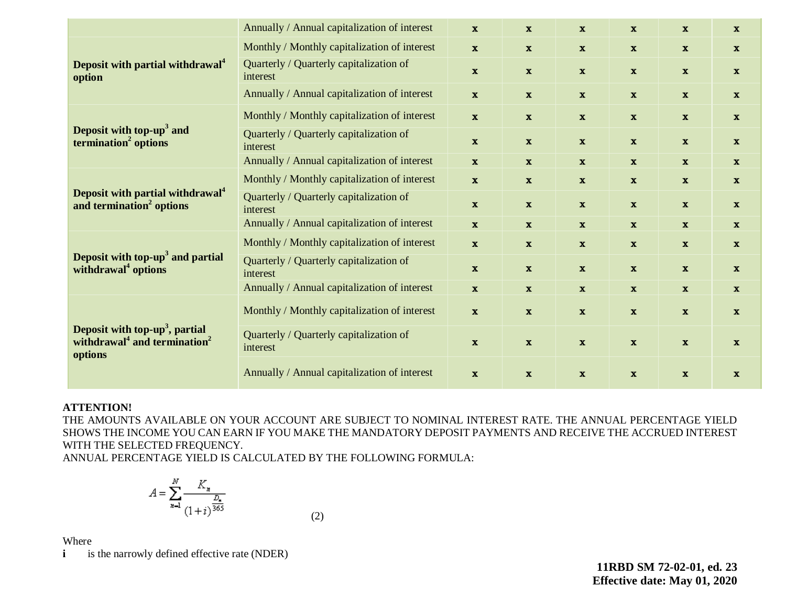|                                                                                                               | Annually / Annual capitalization of interest        | $\mathbf{x}$ | $\mathbf{x}$ | $\mathbf{x}$ | $\mathbf{x}$ | $\mathbf{x}$ | $\mathbf{x}$ |
|---------------------------------------------------------------------------------------------------------------|-----------------------------------------------------|--------------|--------------|--------------|--------------|--------------|--------------|
| Deposit with partial withdrawal <sup>4</sup><br>option                                                        | Monthly / Monthly capitalization of interest        | $\mathbf{x}$ | $\mathbf{x}$ | $\mathbf{x}$ | $\mathbf{x}$ | $\mathbf{x}$ | $\mathbf{x}$ |
|                                                                                                               | Quarterly / Quarterly capitalization of<br>interest | $\mathbf{x}$ | $\mathbf{x}$ | $\mathbf{x}$ | $\mathbf{x}$ | $\mathbf{x}$ | $\mathbf{x}$ |
|                                                                                                               | Annually / Annual capitalization of interest        | $\mathbf{x}$ | $\mathbf{x}$ | $\mathbf{x}$ | $\mathbf{x}$ | $\mathbf{x}$ | $\mathbf{x}$ |
| Deposit with top- $up3$ and<br>termination <sup>2</sup> options                                               | Monthly / Monthly capitalization of interest        | $\mathbf{x}$ | $\mathbf{x}$ | $\mathbf{x}$ | $\mathbf{x}$ | $\mathbf{x}$ | $\mathbf{x}$ |
|                                                                                                               | Quarterly / Quarterly capitalization of<br>interest | $\mathbf{x}$ | $\mathbf{x}$ | $\mathbf{x}$ | $\mathbf x$  | $\mathbf{x}$ | $\mathbf{x}$ |
|                                                                                                               | Annually / Annual capitalization of interest        | $\mathbf{x}$ | $\mathbf{x}$ | $\mathbf{x}$ | $\mathbf{x}$ | $\mathbf{x}$ | $\mathbf{x}$ |
| Deposit with partial withdrawal <sup>4</sup><br>and termination <sup>2</sup> options                          | Monthly / Monthly capitalization of interest        | $\mathbf{x}$ | $\mathbf{x}$ | $\mathbf{x}$ | $\mathbf{x}$ | $\mathbf{x}$ | $\mathbf{x}$ |
|                                                                                                               | Quarterly / Quarterly capitalization of<br>interest | $\mathbf{x}$ | $\mathbf{x}$ | $\mathbf{x}$ | $\mathbf{x}$ | $\mathbf{x}$ | $\mathbf{x}$ |
|                                                                                                               | Annually / Annual capitalization of interest        | $\mathbf{x}$ | $\mathbf{x}$ | $\mathbf{x}$ | $\mathbf{x}$ | $\mathbf{x}$ | $\mathbf{x}$ |
| Deposit with top-up <sup>3</sup> and partial<br>withdrawal <sup>4</sup> options                               | Monthly / Monthly capitalization of interest        | $\mathbf{x}$ | $\mathbf{x}$ | $\mathbf{x}$ | $\mathbf{x}$ | $\mathbf{x}$ | $\mathbf{x}$ |
|                                                                                                               | Quarterly / Quarterly capitalization of<br>interest | $\mathbf{x}$ | $\mathbf{x}$ | $\mathbf{x}$ | $\mathbf{x}$ | $\mathbf{x}$ | $\mathbf{x}$ |
|                                                                                                               | Annually / Annual capitalization of interest        | $\mathbf{x}$ | $\mathbf x$  | $\mathbf{x}$ | $\mathbf{x}$ | $\mathbf{x}$ | $\mathbf{x}$ |
| Deposit with top-up <sup>3</sup> , partial<br>withdrawal <sup>4</sup> and termination <sup>2</sup><br>options | Monthly / Monthly capitalization of interest        | $\mathbf{x}$ | $\mathbf{x}$ | $\mathbf{x}$ | $\mathbf{x}$ | $\mathbf{x}$ | $\mathbf{x}$ |
|                                                                                                               | Quarterly / Quarterly capitalization of<br>interest | $\mathbf{x}$ | $\mathbf{x}$ | $\mathbf x$  | $\mathbf{x}$ | $\mathbf x$  | $\mathbf{x}$ |
|                                                                                                               | Annually / Annual capitalization of interest        | $\mathbf{x}$ | $\mathbf{x}$ | $\mathbf{x}$ | $\mathbf{x}$ | $\mathbf{x}$ | $\mathbf{x}$ |

#### **ATTENTION!**

THE AMOUNTS AVAILABLE ON YOUR ACCOUNT ARE SUBJECT TO NOMINAL INTEREST RATE. THE ANNUAL PERCENTAGE YIELD SHOWS THE INCOME YOU CAN EARN IF YOU MAKE THE MANDATORY DEPOSIT PAYMENTS AND RECEIVE THE ACCRUED INTEREST WITH THE SELECTED FREQUENCY.

ANNUAL PERCENTAGE YIELD IS CALCULATED BY THE FOLLOWING FORMULA:

$$
A = \sum_{n=1}^{N} \frac{K_n}{(1+i)^{\frac{D_n}{365}}}
$$
(2)

Where

**i is the narrowly defined effective rate (NDER)** 

**11RBD SM 72-02-01, ed. 23 Effective date: May 01, 2020**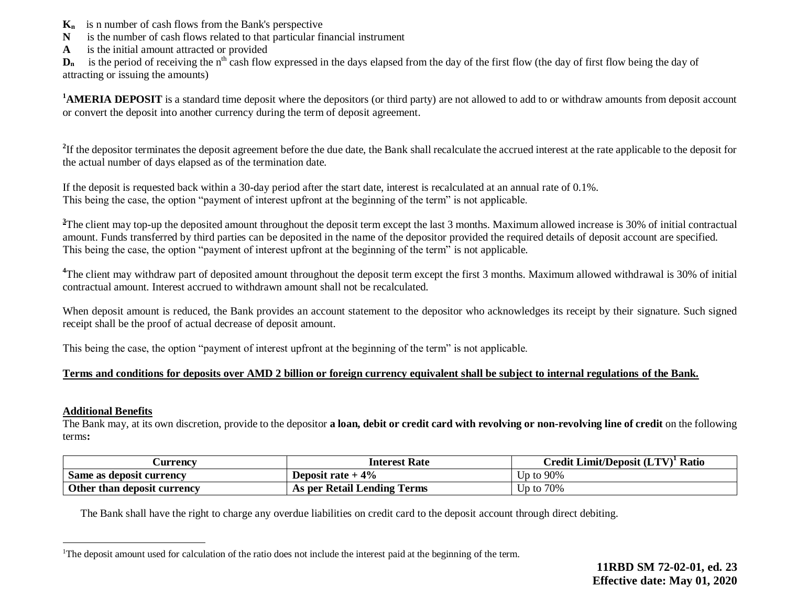- **Kn** is n number of cash flows from the Bank's perspective
- **N** is the number of cash flows related to that particular financial instrument
- **A** is the initial amount attracted or provided

 $D_n$  is the period of receiving the n<sup>th</sup> cash flow expressed in the days elapsed from the day of the first flow (the day of first flow being the day of attracting or issuing the amounts)

<sup>1</sup>**AMERIA DEPOSIT** is a standard time deposit where the depositors (or third party) are not allowed to add to or withdraw amounts from deposit account or convert the deposit into another currency during the term of deposit agreement.

<sup>2</sup>If the depositor terminates the deposit agreement before the due date, the Bank shall recalculate the accrued interest at the rate applicable to the deposit for the actual number of days elapsed as of the termination date.

If the deposit is requested back within a 30-day period after the start date, interest is recalculated at an annual rate of 0.1%. This being the case, the option "payment of interest upfront at the beginning of the term" is not applicable.

<sup>3</sup>The client may top-up the deposited amount throughout the deposit term except the last 3 months. Maximum allowed increase is 30% of initial contractual amount. Funds transferred by third parties can be deposited in the name of the depositor provided the required details of deposit account are specified. This being the case, the option "payment of interest upfront at the beginning of the term" is not applicable.

<sup>4</sup>The client may withdraw part of deposited amount throughout the deposit term except the first 3 months. Maximum allowed withdrawal is 30% of initial contractual amount. Interest accrued to withdrawn amount shall not be recalculated.

When deposit amount is reduced, the Bank provides an account statement to the depositor who acknowledges its receipt by their signature. Such signed receipt shall be the proof of actual decrease of deposit amount.

This being the case, the option "payment of interest upfront at the beginning of the term" is not applicable.

### **Terms and conditions for deposits over AMD 2 billion or foreign currency equivalent shall be subject to internal regulations of the Bank.**

#### **Additional Benefits**

 $\overline{a}$ 

The Bank may, at its own discretion, provide to the depositor **a loan, debit or credit card with revolving or non-revolving line of credit** on the following terms**:**

| <b>Currency</b>             | Interest Rate               | Credit Limit/Deposit (LTV) <sup>1</sup> Ratio |
|-----------------------------|-----------------------------|-----------------------------------------------|
| Same as deposit currency    | Deposit rate $+4\%$         | Up to 90%                                     |
| Other than deposit currency | As per Retail Lending Terms | $Jp$ to $70\%$                                |

The Bank shall have the right to charge any overdue liabilities on credit card to the deposit account through direct debiting.

<sup>&</sup>lt;sup>1</sup>The deposit amount used for calculation of the ratio does not include the interest paid at the beginning of the term.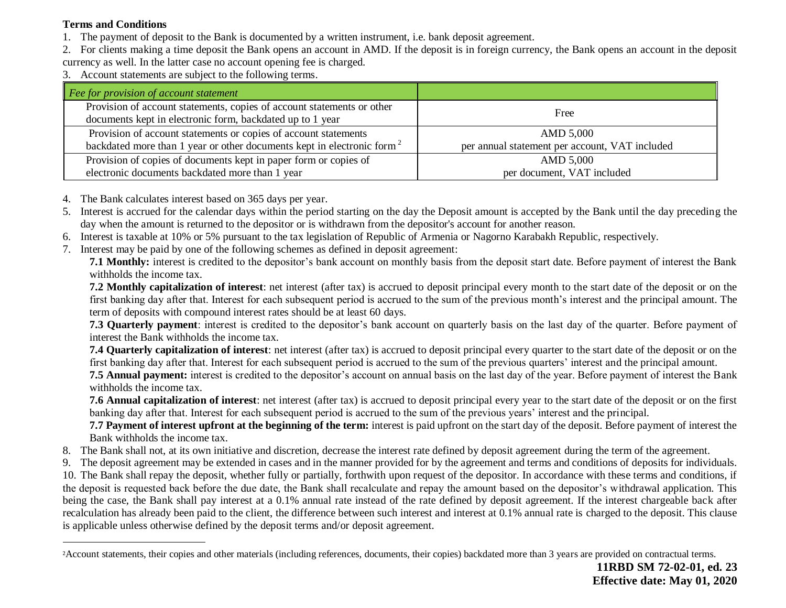## **Terms and Conditions**

 $\overline{a}$ 

- 1. The payment of deposit to the Bank is documented by a written instrument, i.e. bank deposit agreement.
- 2. For clients making a time deposit the Bank opens an account in AMD. If the deposit is in foreign currency, the Bank opens an account in the deposit
- currency as well. In the latter case no account opening fee is charged.
- 3. Account statements are subject to the following terms.

| Fee for provision of account statement                                                                                              |                                                |  |  |
|-------------------------------------------------------------------------------------------------------------------------------------|------------------------------------------------|--|--|
| Provision of account statements, copies of account statements or other<br>documents kept in electronic form, backdated up to 1 year | Free                                           |  |  |
| Provision of account statements or copies of account statements                                                                     | AMD 5,000                                      |  |  |
| backdated more than 1 year or other documents kept in electronic form <sup>2</sup>                                                  | per annual statement per account, VAT included |  |  |
| Provision of copies of documents kept in paper form or copies of                                                                    | AMD 5,000                                      |  |  |
| electronic documents backdated more than 1 year                                                                                     | per document, VAT included                     |  |  |

- 4. The Bank calculates interest based on 365 days per year.
- 5. Interest is accrued for the calendar days within the period starting on the day the Deposit amount is accepted by the Bank until the day preceding the day when the amount is returned to the depositor or is withdrawn from the depositor's account for another reason.
- 6. Interest is taxable at 10% or 5% pursuant to the tax legislation of Republic of Armenia or Nagorno Karabakh Republic, respectively.
- 7. Interest may be paid by one of the following schemes as defined in deposit agreement:

**7.1 Monthly:** interest is credited to the depositor's bank account on monthly basis from the deposit start date. Before payment of interest the Bank withholds the income tax.

**7.2 Monthly capitalization of interest**: net interest (after tax) is accrued to deposit principal every month to the start date of the deposit or on the first banking day after that. Interest for each subsequent period is accrued to the sum of the previous month's interest and the principal amount. The term of deposits with compound interest rates should be at least 60 days.

**7.3 Quarterly payment**: interest is credited to the depositor's bank account on quarterly basis on the last day of the quarter. Before payment of interest the Bank withholds the income tax.

**7.4 Quarterly capitalization of interest**: net interest (after tax) is accrued to deposit principal every quarter to the start date of the deposit or on the first banking day after that. Interest for each subsequent period is accrued to the sum of the previous quarters' interest and the principal amount.

**7.5 Annual payment:** interest is credited to the depositor's account on annual basis on the last day of the year. Before payment of interest the Bank withholds the income tax.

**7.6 Annual capitalization of interest**: net interest (after tax) is accrued to deposit principal every year to the start date of the deposit or on the first banking day after that. Interest for each subsequent period is accrued to the sum of the previous years' interest and the principal.

**7.7 Payment of interest upfront at the beginning of the term:** interest is paid upfront on the start day of the deposit. Before payment of interest the Bank withholds the income tax.

- 8. The Bank shall not, at its own initiative and discretion, decrease the interest rate defined by deposit agreement during the term of the agreement.
- 9. The deposit agreement may be extended in cases and in the manner provided for by the agreement and terms and conditions of deposits for individuals.

10. The Bank shall repay the deposit, whether fully or partially, forthwith upon request of the depositor. In accordance with these terms and conditions, if the deposit is requested back before the due date, the Bank shall recalculate and repay the amount based on the depositor's withdrawal application. This being the case, the Bank shall pay interest at a 0.1% annual rate instead of the rate defined by deposit agreement. If the interest chargeable back after recalculation has already been paid to the client, the difference between such interest and interest at 0.1% annual rate is charged to the deposit. This clause is applicable unless otherwise defined by the deposit terms and/or deposit agreement.

<sup>&</sup>lt;sup>2</sup>Account statements, their copies and other materials (including references, documents, their copies) backdated more than 3 years are provided on contractual terms.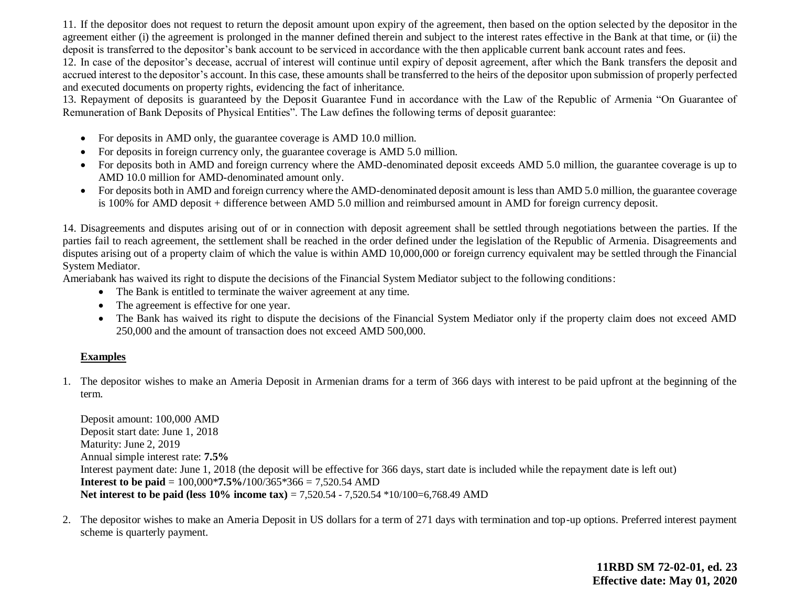11. If the depositor does not request to return the deposit amount upon expiry of the agreement, then based on the option selected by the depositor in the agreement either (i) the agreement is prolonged in the manner defined therein and subject to the interest rates effective in the Bank at that time, or (ii) the deposit is transferred to the depositor's bank account to be serviced in accordance with the then applicable current bank account rates and fees.

12. In case of the depositor's decease, accrual of interest will continue until expiry of deposit agreement, after which the Bank transfers the deposit and accrued interest to the depositor's account. In this case, these amounts shall be transferred to the heirs of the depositor upon submission of properly perfected and executed documents on property rights, evidencing the fact of inheritance.

13. Repayment of deposits is guaranteed by the Deposit Guarantee Fund in accordance with the Law of the Republic of Armenia "On Guarantee of Remuneration of Bank Deposits of Physical Entities". The Law defines the following terms of deposit guarantee:

- For deposits in AMD only, the guarantee coverage is AMD 10.0 million.
- For deposits in foreign currency only, the guarantee coverage is AMD 5.0 million.
- For deposits both in AMD and foreign currency where the AMD-denominated deposit exceeds AMD 5.0 million, the guarantee coverage is up to AMD 10.0 million for AMD-denominated amount only.
- For deposits both in AMD and foreign currency where the AMD-denominated deposit amount is less than AMD 5.0 million, the guarantee coverage is 100% for AMD deposit + difference between AMD 5.0 million and reimbursed amount in AMD for foreign currency deposit.

14. Disagreements and disputes arising out of or in connection with deposit agreement shall be settled through negotiations between the parties. If the parties fail to reach agreement, the settlement shall be reached in the order defined under the legislation of the Republic of Armenia. Disagreements and disputes arising out of a property claim of which the value is within AMD 10,000,000 or foreign currency equivalent may be settled through the Financial System Mediator.

Ameriabank has waived its right to dispute the decisions of the Financial System Mediator subject to the following conditions:

- The Bank is entitled to terminate the waiver agreement at any time.
- The agreement is effective for one year.
- The Bank has waived its right to dispute the decisions of the Financial System Mediator only if the property claim does not exceed AMD 250,000 and the amount of transaction does not exceed AMD 500,000.

### **Examples**

1. The depositor wishes to make an Ameria Deposit in Armenian drams for a term of 366 days with interest to be paid upfront at the beginning of the term.

Deposit amount: 100,000 AMD Deposit start date: June 1, 2018 Maturity: June 2, 2019 Annual simple interest rate: **7.5%** Interest payment date: June 1, 2018 (the deposit will be effective for 366 days, start date is included while the repayment date is left out) **Interest to be paid** = 100,000\***7.5%/**100/365\*366 = 7,520.54 AMD **Net interest to be paid (less 10% income tax) = 7,520.54 - 7,520.54**  $*10/100=6,768.49$  **AMD** 

2. The depositor wishes to make an Ameria Deposit in US dollars for a term of 271 days with termination and top-up options. Preferred interest payment scheme is quarterly payment.

> **11RBD SM 72-02-01, ed. 23 Effective date: May 01, 2020**